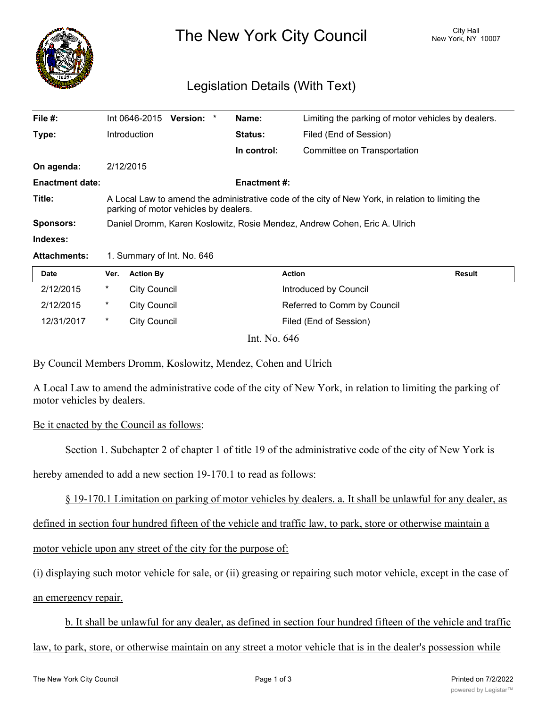

The New York City Council New York, NY 10007

## Legislation Details (With Text)

| File $#$ :             | Int 0646-2015                                                                                                                              | Version: * |  | Name:               | Limiting the parking of motor vehicles by dealers. |  |
|------------------------|--------------------------------------------------------------------------------------------------------------------------------------------|------------|--|---------------------|----------------------------------------------------|--|
| Type:                  | <b>Introduction</b>                                                                                                                        |            |  | Status:             | Filed (End of Session)                             |  |
|                        |                                                                                                                                            |            |  | In control:         | Committee on Transportation                        |  |
| On agenda:             | 2/12/2015                                                                                                                                  |            |  |                     |                                                    |  |
| <b>Enactment date:</b> |                                                                                                                                            |            |  | <b>Enactment #:</b> |                                                    |  |
| Title:                 | A Local Law to amend the administrative code of the city of New York, in relation to limiting the<br>parking of motor vehicles by dealers. |            |  |                     |                                                    |  |
| <b>Sponsors:</b>       | Daniel Dromm, Karen Koslowitz, Rosie Mendez, Andrew Cohen, Eric A. Ulrich                                                                  |            |  |                     |                                                    |  |
| Indexes:               |                                                                                                                                            |            |  |                     |                                                    |  |
| <b>Attachments:</b>    | 1. Summary of Int. No. 646                                                                                                                 |            |  |                     |                                                    |  |

| <b>Date</b> | Ver.   | <b>Action By</b>                                    | <b>Action</b>               | Result |
|-------------|--------|-----------------------------------------------------|-----------------------------|--------|
| 2/12/2015   | *      | City Council                                        | Introduced by Council       |        |
| 2/12/2015   | $\ast$ | <b>City Council</b>                                 | Referred to Comm by Council |        |
| 12/31/2017  | *      | City Council                                        | Filed (End of Session)      |        |
|             |        | $\mathbf{v}$ $\mathbf{v}$ $\mathbf{v}$ $\mathbf{v}$ |                             |        |

Int. No. 646

By Council Members Dromm, Koslowitz, Mendez, Cohen and Ulrich

A Local Law to amend the administrative code of the city of New York, in relation to limiting the parking of motor vehicles by dealers.

## Be it enacted by the Council as follows:

Section 1. Subchapter 2 of chapter 1 of title 19 of the administrative code of the city of New York is

hereby amended to add a new section 19-170.1 to read as follows:

§ 19-170.1 Limitation on parking of motor vehicles by dealers. a. It shall be unlawful for any dealer, as

defined in section four hundred fifteen of the vehicle and traffic law, to park, store or otherwise maintain a

motor vehicle upon any street of the city for the purpose of:

(i) displaying such motor vehicle for sale, or (ii) greasing or repairing such motor vehicle, except in the case of an emergency repair.

b. It shall be unlawful for any dealer, as defined in section four hundred fifteen of the vehicle and traffic

law, to park, store, or otherwise maintain on any street a motor vehicle that is in the dealer's possession while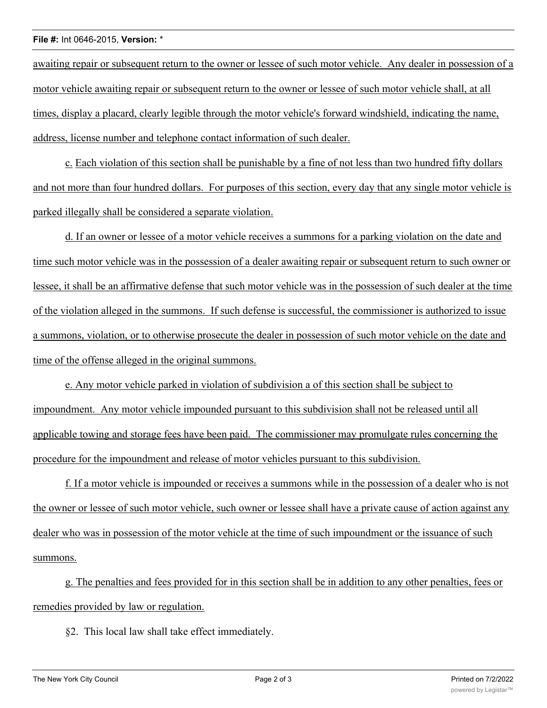## **File #:** Int 0646-2015, **Version:** \*

awaiting repair or subsequent return to the owner or lessee of such motor vehicle. Any dealer in possession of a motor vehicle awaiting repair or subsequent return to the owner or lessee of such motor vehicle shall, at all times, display a placard, clearly legible through the motor vehicle's forward windshield, indicating the name, address, license number and telephone contact information of such dealer.

c. Each violation of this section shall be punishable by a fine of not less than two hundred fifty dollars and not more than four hundred dollars. For purposes of this section, every day that any single motor vehicle is parked illegally shall be considered a separate violation.

d. If an owner or lessee of a motor vehicle receives a summons for a parking violation on the date and time such motor vehicle was in the possession of a dealer awaiting repair or subsequent return to such owner or lessee, it shall be an affirmative defense that such motor vehicle was in the possession of such dealer at the time of the violation alleged in the summons. If such defense is successful, the commissioner is authorized to issue a summons, violation, or to otherwise prosecute the dealer in possession of such motor vehicle on the date and time of the offense alleged in the original summons.

e. Any motor vehicle parked in violation of subdivision a of this section shall be subject to impoundment. Any motor vehicle impounded pursuant to this subdivision shall not be released until all applicable towing and storage fees have been paid. The commissioner may promulgate rules concerning the procedure for the impoundment and release of motor vehicles pursuant to this subdivision.

f. If a motor vehicle is impounded or receives a summons while in the possession of a dealer who is not the owner or lessee of such motor vehicle, such owner or lessee shall have a private cause of action against any dealer who was in possession of the motor vehicle at the time of such impoundment or the issuance of such summons.

g. The penalties and fees provided for in this section shall be in addition to any other penalties, fees or remedies provided by law or regulation.

§2. This local law shall take effect immediately.